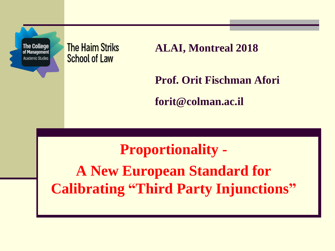**The College** of Management Academic Studies

**The Haim Striks School of Law** 

**ALAI, Montreal 2018**

**Prof. Orit Fischman Afori**

**forit@colman.ac.il** 

#### **Proportionality -**

**A New European Standard for Calibrating "Third Party Injunctions"**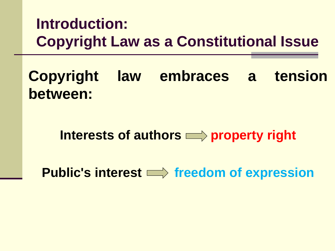### **Introduction: Copyright Law as a Constitutional Issue**

**Copyright law embraces a tension between:**

Interests of authors **property** right

**Public's interest**  $\implies$  **freedom of expression**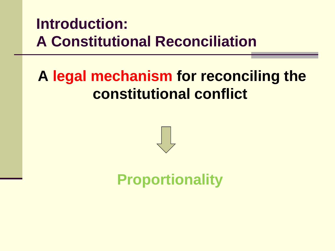### **Introduction: A Constitutional Reconciliation**

# **A legal mechanism for reconciling the constitutional conflict**



### **Proportionality**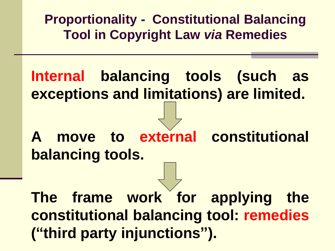**Proportionality - Constitutional Balancing Tool in Copyright Law** *via* **Remedies** 

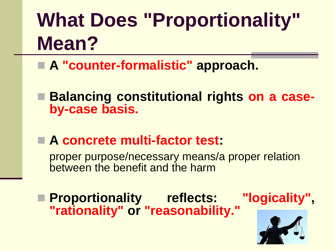# **What Does "Proportionality" Mean?**

- ◼ **A "counter-formalistic" approach.**
- **Balancing constitutional rights on a caseby-case basis.**
- A concrete multi-factor test:

proper purpose/necessary means/a proper relation between the benefit and the harm

◼ **Proportionality reflects: "logicality", "rationality" or "reasonability."**

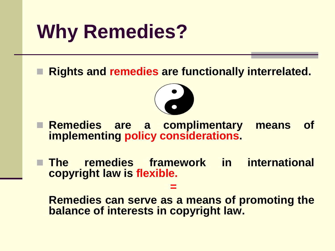# **Why Remedies?**

◼ **Rights and remedies are functionally interrelated.**



◼ **Remedies are a complimentary means of implementing policy considerations.**

◼ **The remedies framework in international copyright law is flexible.**

**=**

**Remedies can serve as a means of promoting the balance of interests in copyright law.**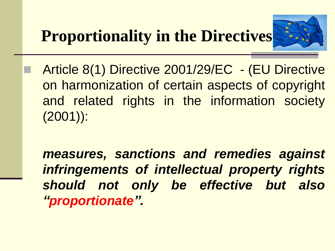

Article 8(1) Directive 2001/29/EC - (EU Directive on harmonization of certain aspects of copyright and related rights in the information society (2001)):

*measures, sanctions and remedies against infringements of intellectual property rights should not only be effective but also "proportionate".*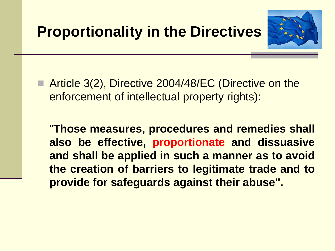

■ Article 3(2), Directive 2004/48/EC (Directive on the enforcement of intellectual property rights):

"**Those measures, procedures and remedies shall also be effective, proportionate and dissuasive and shall be applied in such a manner as to avoid the creation of barriers to legitimate trade and to provide for safeguards against their abuse".**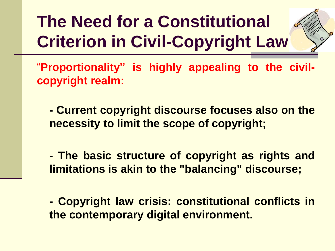**The Need for a Constitutional Criterion in Civil-Copyright Law**



"**Proportionality" is highly appealing to the civilcopyright realm:**

**- Current copyright discourse focuses also on the necessity to limit the scope of copyright;**

**- The basic structure of copyright as rights and limitations is akin to the "balancing" discourse;**

**- Copyright law crisis: constitutional conflicts in the contemporary digital environment.**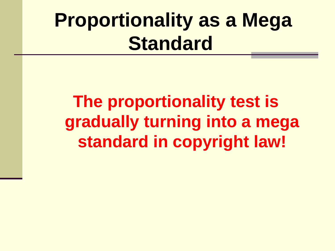# **Proportionality as a Mega Standard**

# **The proportionality test is gradually turning into a mega standard in copyright law!**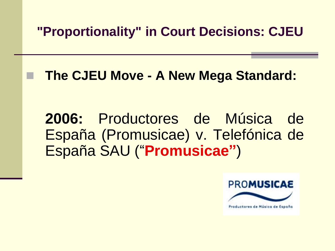◼ **The CJEU Move - A New Mega Standard:**

**2006:** Productores de Música de España (Promusicae) v. Telefónica de España SAU ("**Promusicae"**)

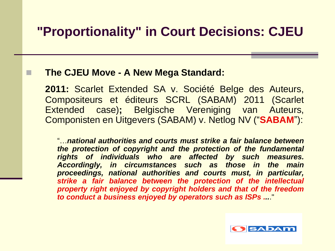#### ◼ **The CJEU Move - A New Mega Standard:**

**2011:** Scarlet Extended SA v. Société Belge des Auteurs, Compositeurs et éditeurs SCRL (SABAM) 2011 (Scarlet Extended case)**;** Belgische Vereniging van Auteurs, Componisten en Uitgevers (SABAM) v. Netlog NV ("**SABAM**"):

"…*national authorities and courts must strike a fair balance between the protection of copyright and the protection of the fundamental rights of individuals who are affected by such measures. Accordingly, in circumstances such as those in the main proceedings, national authorities and courts must, in particular, strike a fair balance between the protection of the intellectual property right enjoyed by copyright holders and that of the freedom to conduct a business enjoyed by operators such as ISPs ...*."

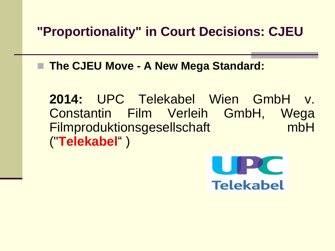◼ **The CJEU Move - A New Mega Standard:**

**2014:** UPC Telekabel Wien GmbH v. Constantin Film Verleih GmbH, Wega Filmproduktionsgesellschaft mbH ("**Telekabel**" )

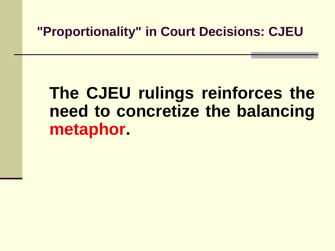# **The CJEU rulings reinforces the need to concretize the balancing metaphor.**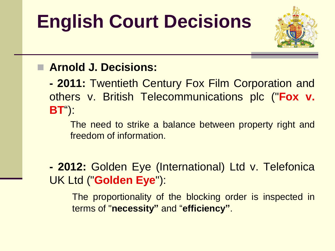# **English Court Decisions**



#### ◼ **Arnold J. Decisions:**

**- 2011:** Twentieth Century Fox Film Corporation and others v. British Telecommunications plc ("**Fox v. BT**"):

The need to strike a balance between property right and freedom of information.

**- 2012:** Golden Eye (International) Ltd v. Telefonica UK Ltd ("**Golden Eye**"):

The proportionality of the blocking order is inspected in terms of "**necessity"** and "**efficiency"**.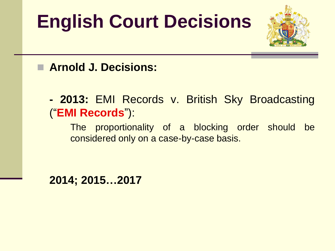# **English Court Decisions**



#### ◼ **Arnold J. Decisions:**

**- 2013:** EMI Records v. British Sky Broadcasting ("**EMI Records**"):

The proportionality of a blocking order should be considered only on a case-by-case basis.

**2014; 2015…2017**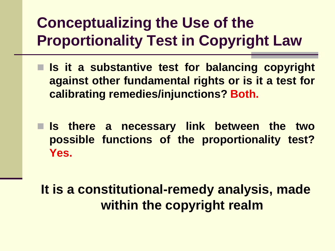# **Conceptualizing the Use of the Proportionality Test in Copyright Law**

- Is it a substantive test for balancing copyright **against other fundamental rights or is it a test for calibrating remedies/injunctions? Both.**
- ◼ **Is there a necessary link between the two possible functions of the proportionality test? Yes.**

**It is a constitutional-remedy analysis, made within the copyright realm**